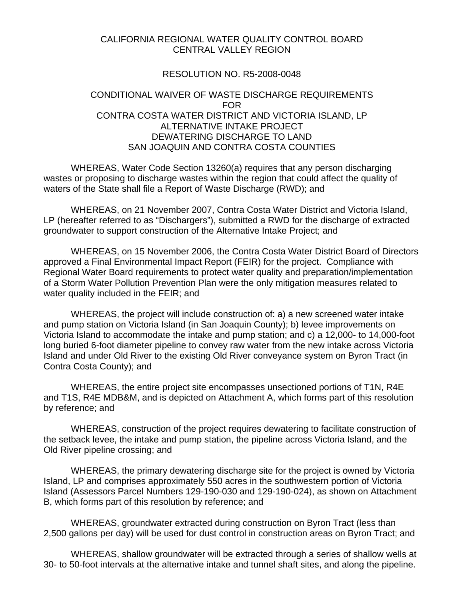### CALIFORNIA REGIONAL WATER QUALITY CONTROL BOARD CENTRAL VALLEY REGION

### RESOLUTION NO. R5-2008-0048

### CONDITIONAL WAIVER OF WASTE DISCHARGE REQUIREMENTS FOR CONTRA COSTA WATER DISTRICT AND VICTORIA ISLAND, LP ALTERNATIVE INTAKE PROJECT DEWATERING DISCHARGE TO LAND SAN JOAQUIN AND CONTRA COSTA COUNTIES

 WHEREAS, Water Code Section 13260(a) requires that any person discharging wastes or proposing to discharge wastes within the region that could affect the quality of waters of the State shall file a Report of Waste Discharge (RWD); and

 WHEREAS, on 21 November 2007, Contra Costa Water District and Victoria Island, LP (hereafter referred to as "Dischargers"), submitted a RWD for the discharge of extracted groundwater to support construction of the Alternative Intake Project; and

 WHEREAS, on 15 November 2006, the Contra Costa Water District Board of Directors approved a Final Environmental Impact Report (FEIR) for the project. Compliance with Regional Water Board requirements to protect water quality and preparation/implementation of a Storm Water Pollution Prevention Plan were the only mitigation measures related to water quality included in the FEIR; and

 WHEREAS, the project will include construction of: a) a new screened water intake and pump station on Victoria Island (in San Joaquin County); b) levee improvements on Victoria Island to accommodate the intake and pump station; and c) a 12,000- to 14,000-foot long buried 6-foot diameter pipeline to convey raw water from the new intake across Victoria Island and under Old River to the existing Old River conveyance system on Byron Tract (in Contra Costa County); and

 WHEREAS, the entire project site encompasses unsectioned portions of T1N, R4E and T1S, R4E MDB&M, and is depicted on Attachment A, which forms part of this resolution by reference; and

 WHEREAS, construction of the project requires dewatering to facilitate construction of the setback levee, the intake and pump station, the pipeline across Victoria Island, and the Old River pipeline crossing; and

 WHEREAS, the primary dewatering discharge site for the project is owned by Victoria Island, LP and comprises approximately 550 acres in the southwestern portion of Victoria Island (Assessors Parcel Numbers 129-190-030 and 129-190-024), as shown on Attachment B, which forms part of this resolution by reference; and

 WHEREAS, groundwater extracted during construction on Byron Tract (less than 2,500 gallons per day) will be used for dust control in construction areas on Byron Tract; and

 WHEREAS, shallow groundwater will be extracted through a series of shallow wells at 30- to 50-foot intervals at the alternative intake and tunnel shaft sites, and along the pipeline.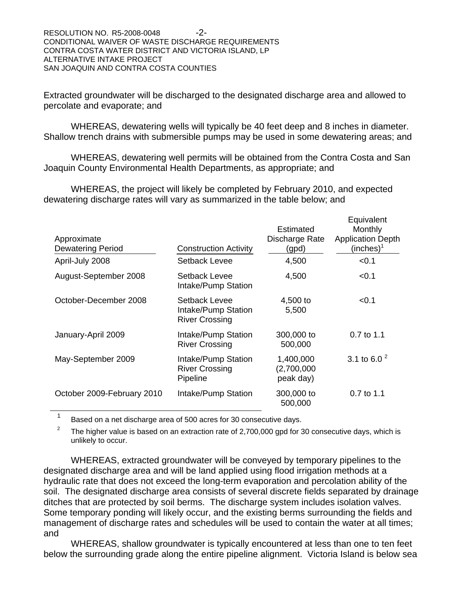Extracted groundwater will be discharged to the designated discharge area and allowed to percolate and evaporate; and

 WHEREAS, dewatering wells will typically be 40 feet deep and 8 inches in diameter. Shallow trench drains with submersible pumps may be used in some dewatering areas; and

 WHEREAS, dewatering well permits will be obtained from the Contra Costa and San Joaquin County Environmental Health Departments, as appropriate; and

 WHEREAS, the project will likely be completed by February 2010, and expected dewatering discharge rates will vary as summarized in the table below; and

| Approximate<br><b>Dewatering Period</b><br>April-July 2008 | <b>Construction Activity</b><br>Setback Levee                 | Estimated<br>Discharge Rate<br>(gpd)<br>4,500 | Equivalent<br>Monthly<br><b>Application Depth</b><br>(inches) <sup>1</sup><br>< 0.1 |
|------------------------------------------------------------|---------------------------------------------------------------|-----------------------------------------------|-------------------------------------------------------------------------------------|
| August-September 2008                                      | Setback Levee<br>Intake/Pump Station                          | 4,500                                         | < 0.1                                                                               |
| October-December 2008                                      | Setback Levee<br>Intake/Pump Station<br><b>River Crossing</b> | 4,500 to<br>5,500                             | < 0.1                                                                               |
| January-April 2009                                         | Intake/Pump Station<br><b>River Crossing</b>                  | 300,000 to<br>500,000                         | 0.7 to 1.1                                                                          |
| May-September 2009                                         | Intake/Pump Station<br><b>River Crossing</b><br>Pipeline      | 1,400,000<br>(2,700,000)<br>peak day)         | 3.1 to 6.0 $^{2}$                                                                   |
| October 2009-February 2010                                 | Intake/Pump Station                                           | 300,000 to<br>500,000                         | $0.7$ to 1.1                                                                        |

<sup>1</sup> Based on a net discharge area of 500 acres for 30 consecutive days.

2 The higher value is based on an extraction rate of 2,700,000 gpd for 30 consecutive days, which is unlikely to occur.

 WHEREAS, extracted groundwater will be conveyed by temporary pipelines to the designated discharge area and will be land applied using flood irrigation methods at a hydraulic rate that does not exceed the long-term evaporation and percolation ability of the soil. The designated discharge area consists of several discrete fields separated by drainage ditches that are protected by soil berms. The discharge system includes isolation valves. Some temporary ponding will likely occur, and the existing berms surrounding the fields and management of discharge rates and schedules will be used to contain the water at all times; and

 WHEREAS, shallow groundwater is typically encountered at less than one to ten feet below the surrounding grade along the entire pipeline alignment. Victoria Island is below sea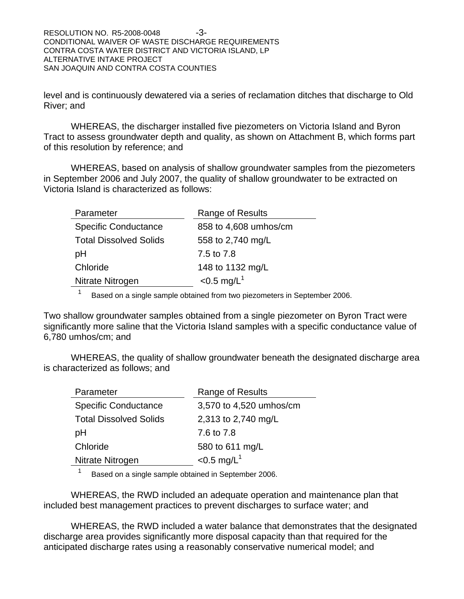level and is continuously dewatered via a series of reclamation ditches that discharge to Old River; and

 WHEREAS, the discharger installed five piezometers on Victoria Island and Byron Tract to assess groundwater depth and quality, as shown on Attachment B, which forms part of this resolution by reference; and

 WHEREAS, based on analysis of shallow groundwater samples from the piezometers in September 2006 and July 2007, the quality of shallow groundwater to be extracted on Victoria Island is characterized as follows:

| Parameter                     | Range of Results          |
|-------------------------------|---------------------------|
| <b>Specific Conductance</b>   | 858 to 4,608 umhos/cm     |
| <b>Total Dissolved Solids</b> | 558 to 2,740 mg/L         |
| рH                            | 7.5 to 7.8                |
| Chloride                      | 148 to 1132 mg/L          |
| Nitrate Nitrogen              | $< 0.5$ mg/L <sup>1</sup> |

<sup>1</sup> Based on a single sample obtained from two piezometers in September 2006.

Two shallow groundwater samples obtained from a single piezometer on Byron Tract were significantly more saline that the Victoria Island samples with a specific conductance value of 6,780 umhos/cm; and

 WHEREAS, the quality of shallow groundwater beneath the designated discharge area is characterized as follows; and

| Parameter                     | Range of Results          |
|-------------------------------|---------------------------|
| <b>Specific Conductance</b>   | 3,570 to 4,520 umhos/cm   |
| <b>Total Dissolved Solids</b> | 2,313 to 2,740 mg/L       |
| рH                            | 7.6 to 7.8                |
| Chloride                      | 580 to 611 mg/L           |
| Nitrate Nitrogen              | $< 0.5$ mg/L <sup>1</sup> |

<sup>1</sup> Based on a single sample obtained in September 2006.

 WHEREAS, the RWD included an adequate operation and maintenance plan that included best management practices to prevent discharges to surface water; and

 WHEREAS, the RWD included a water balance that demonstrates that the designated discharge area provides significantly more disposal capacity than that required for the anticipated discharge rates using a reasonably conservative numerical model; and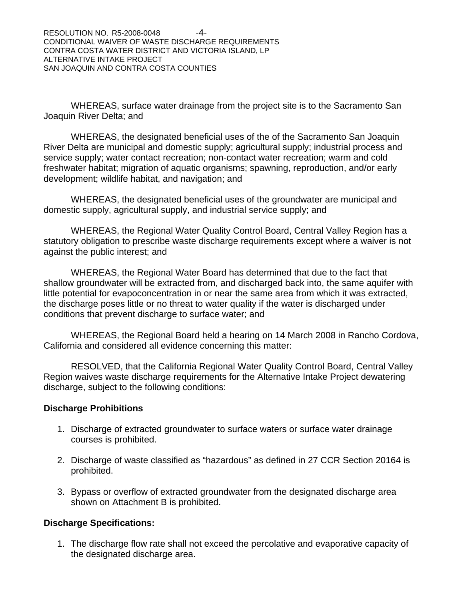WHEREAS, surface water drainage from the project site is to the Sacramento San Joaquin River Delta; and

 WHEREAS, the designated beneficial uses of the of the Sacramento San Joaquin River Delta are municipal and domestic supply; agricultural supply; industrial process and service supply; water contact recreation; non-contact water recreation; warm and cold freshwater habitat; migration of aquatic organisms; spawning, reproduction, and/or early development; wildlife habitat, and navigation; and

 WHEREAS, the designated beneficial uses of the groundwater are municipal and domestic supply, agricultural supply, and industrial service supply; and

 WHEREAS, the Regional Water Quality Control Board, Central Valley Region has a statutory obligation to prescribe waste discharge requirements except where a waiver is not against the public interest; and

 WHEREAS, the Regional Water Board has determined that due to the fact that shallow groundwater will be extracted from, and discharged back into, the same aquifer with little potential for evapoconcentration in or near the same area from which it was extracted, the discharge poses little or no threat to water quality if the water is discharged under conditions that prevent discharge to surface water; and

 WHEREAS, the Regional Board held a hearing on 14 March 2008 in Rancho Cordova, California and considered all evidence concerning this matter:

 RESOLVED, that the California Regional Water Quality Control Board, Central Valley Region waives waste discharge requirements for the Alternative Intake Project dewatering discharge, subject to the following conditions:

### **Discharge Prohibitions**

- 1. Discharge of extracted groundwater to surface waters or surface water drainage courses is prohibited.
- 2. Discharge of waste classified as "hazardous" as defined in 27 CCR Section 20164 is prohibited.
- 3. Bypass or overflow of extracted groundwater from the designated discharge area shown on Attachment B is prohibited.

### **Discharge Specifications:**

1. The discharge flow rate shall not exceed the percolative and evaporative capacity of the designated discharge area.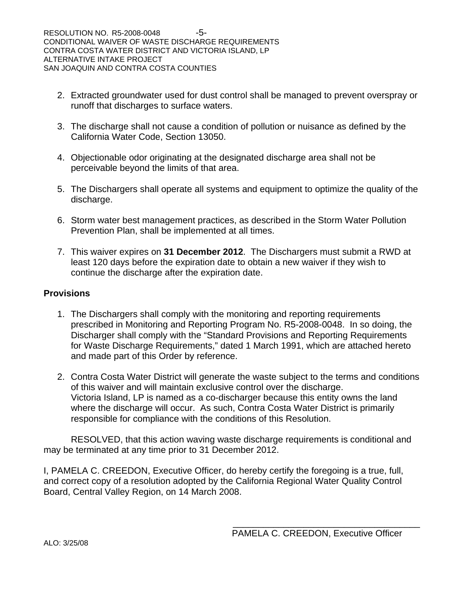- 2. Extracted groundwater used for dust control shall be managed to prevent overspray or runoff that discharges to surface waters.
- 3. The discharge shall not cause a condition of pollution or nuisance as defined by the California Water Code, Section 13050.
- 4. Objectionable odor originating at the designated discharge area shall not be perceivable beyond the limits of that area.
- 5. The Dischargers shall operate all systems and equipment to optimize the quality of the discharge.
- 6. Storm water best management practices, as described in the Storm Water Pollution Prevention Plan, shall be implemented at all times.
- 7. This waiver expires on **31 December 2012**. The Dischargers must submit a RWD at least 120 days before the expiration date to obtain a new waiver if they wish to continue the discharge after the expiration date.

### **Provisions**

- 1. The Dischargers shall comply with the monitoring and reporting requirements prescribed in Monitoring and Reporting Program No. R5-2008-0048. In so doing, the Discharger shall comply with the "Standard Provisions and Reporting Requirements for Waste Discharge Requirements," dated 1 March 1991, which are attached hereto and made part of this Order by reference.
- 2. Contra Costa Water District will generate the waste subject to the terms and conditions of this waiver and will maintain exclusive control over the discharge. Victoria Island, LP is named as a co-discharger because this entity owns the land where the discharge will occur. As such, Contra Costa Water District is primarily responsible for compliance with the conditions of this Resolution.

 RESOLVED, that this action waving waste discharge requirements is conditional and may be terminated at any time prior to 31 December 2012.

I, PAMELA C. CREEDON, Executive Officer, do hereby certify the foregoing is a true, full, and correct copy of a resolution adopted by the California Regional Water Quality Control Board, Central Valley Region, on 14 March 2008.

\_\_\_\_\_\_\_\_\_\_\_\_\_\_\_\_\_\_\_\_\_\_\_\_\_\_\_\_\_\_\_\_\_\_\_\_\_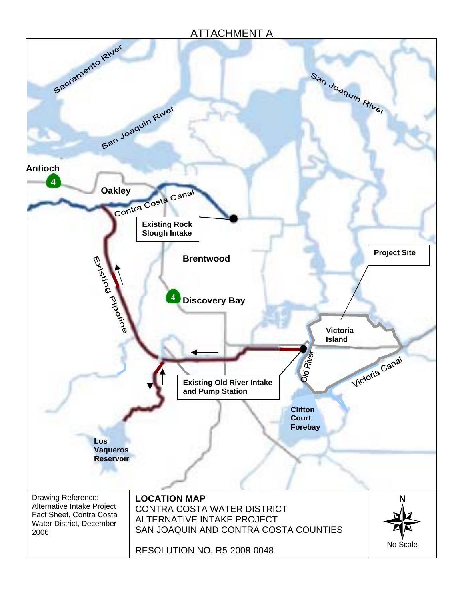# ATTACHMENT A

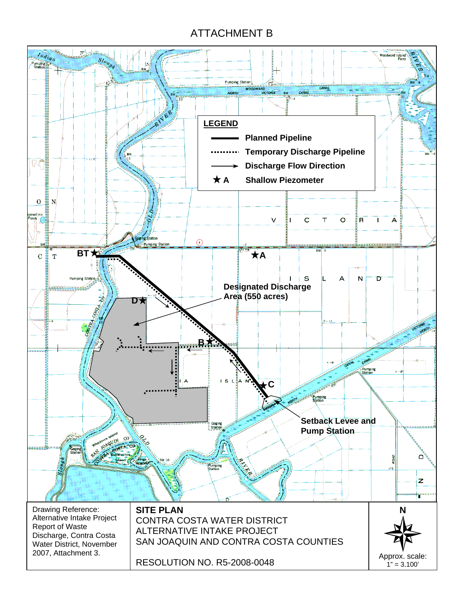# ATTACHMENT B

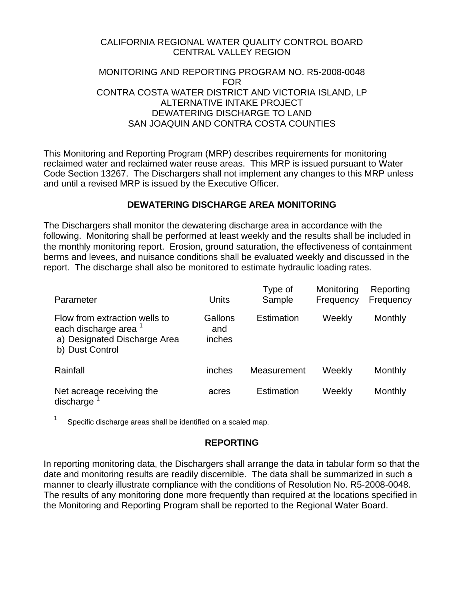### CALIFORNIA REGIONAL WATER QUALITY CONTROL BOARD CENTRAL VALLEY REGION

### MONITORING AND REPORTING PROGRAM NO. R5-2008-0048 FOR CONTRA COSTA WATER DISTRICT AND VICTORIA ISLAND, LP ALTERNATIVE INTAKE PROJECT DEWATERING DISCHARGE TO LAND SAN JOAQUIN AND CONTRA COSTA COUNTIES

This Monitoring and Reporting Program (MRP) describes requirements for monitoring reclaimed water and reclaimed water reuse areas. This MRP is issued pursuant to Water Code Section 13267. The Dischargers shall not implement any changes to this MRP unless and until a revised MRP is issued by the Executive Officer.

### **DEWATERING DISCHARGE AREA MONITORING**

The Dischargers shall monitor the dewatering discharge area in accordance with the following. Monitoring shall be performed at least weekly and the results shall be included in the monthly monitoring report. Erosion, ground saturation, the effectiveness of containment berms and levees, and nuisance conditions shall be evaluated weekly and discussed in the report. The discharge shall also be monitored to estimate hydraulic loading rates.

| Parameter                                                                                                            | Units                    | Type of<br>Sample | Monitoring<br>Frequency | Reporting<br>Frequency |
|----------------------------------------------------------------------------------------------------------------------|--------------------------|-------------------|-------------------------|------------------------|
| Flow from extraction wells to<br>each discharge area <sup>1</sup><br>a) Designated Discharge Area<br>b) Dust Control | Gallons<br>and<br>inches | Estimation        | Weekly                  | <b>Monthly</b>         |
| Rainfall                                                                                                             | inches                   | Measurement       | Weekly                  | Monthly                |
| Net acreage receiving the<br>discharge                                                                               | acres                    | Estimation        | Weekly                  | Monthly                |

 $1$  Specific discharge areas shall be identified on a scaled map.

### **REPORTING**

In reporting monitoring data, the Dischargers shall arrange the data in tabular form so that the date and monitoring results are readily discernible. The data shall be summarized in such a manner to clearly illustrate compliance with the conditions of Resolution No. R5-2008-0048. The results of any monitoring done more frequently than required at the locations specified in the Monitoring and Reporting Program shall be reported to the Regional Water Board.